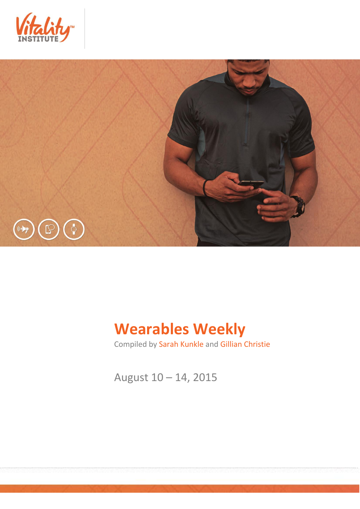



# **Wearables Weekly**

Compiled by Sarah Kunkle and Gillian Christie

August 10 – 14, 2015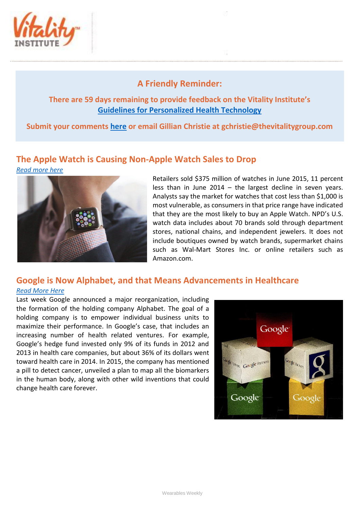

## **A Friendly Reminder:**

### **There are 59 days remaining to provide feedback on the Vitality Institute's [Guidelines for Personalized Health Technology](http://thevitalityinstitute.org/site/wp-content/uploads/2015/07/Responsibility-Guidelines-for-Personalized-Health-Technology.pdf)**

**Submit your comments [here](http://thevitalityinstitute.org/projects/personalized-health-technology/public-consultation/) or email Gillian Christie at [gchristie@thevitalitygroup.com](mailto:gchristie@thevitalitygroup.com?subject=Wearables%20Weekly%20Feedback)**

# **The Apple Watch is Causing Non-Apple Watch Sales to Drop**



Retailers sold \$375 million of watches in June 2015, 11 percent less than in June 2014 – the largest decline in seven years. Analysts say the market for watches that cost less than \$1,000 is most vulnerable, as consumers in that price range have indicated that they are the most likely to buy an Apple Watch. NPD's U.S. watch data includes about 70 brands sold through department stores, national chains, and independent jewelers. It does not include boutiques owned by watch brands, supermarket chains such as Wal-Mart Stores Inc. or online retailers such as Amazon.com.

## **Google is Now Alphabet, and that Means Advancements in Healthcare** *[Read More Here](http://www.forbes.com/sites/dandiamond/2015/08/11/google-is-now-alphabet-and-it-could-spell-big-things-for-healthcare/print/)*

Last week Google announced a major reorganization, including the formation of the holding company Alphabet. The goal of a holding company is to empower individual business units to maximize their performance. In Google's case, that includes an increasing number of health related ventures. For example, Google's hedge fund invested only 9% of its funds in 2012 and 2013 in health care companies, but about 36% of its dollars went toward health care in 2014. In 2015, the company has mentioned a pill to detect cancer, unveiled a plan to map all the biomarkers in the human body, along with other wild inventions that could change health care forever.